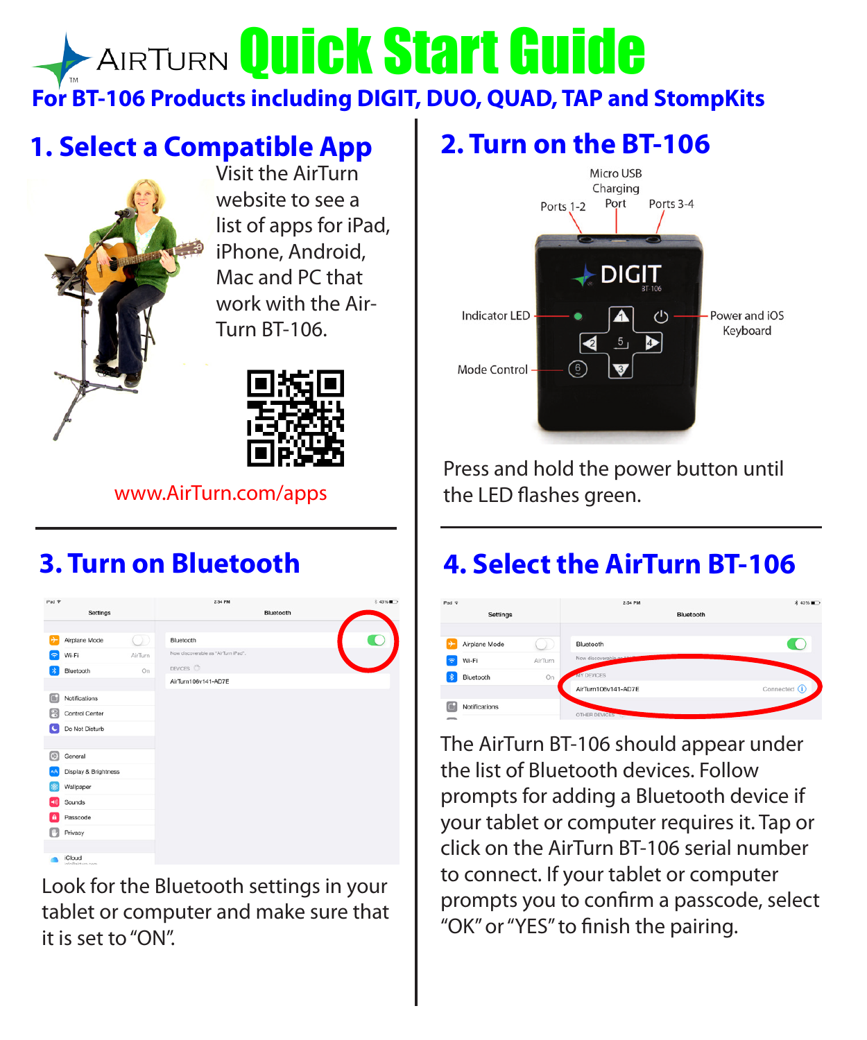# **AIRTURN Quick Start Guide For BT-106 Products including DIGIT, DUO, QUAD, TAP and StompKits**

#### **1. Select a Compatible App**



Visit the AirTurn website to see a list of apps for iPad, iPhone, Android, Mac and PC that work with the Air-Turn BT-106.



#### www.AirTurn.com/apps

#### **3. Turn on Bluetooth**



Look for the Bluetooth settings in your tablet or computer and make sure that it is set to "ON".

#### **2. Turn on the BT-106**



Press and hold the power button until the LED flashes green.

### **4. Select the AirTurn BT-106**



The AirTurn BT-106 should appear under the list of Bluetooth devices. Follow prompts for adding a Bluetooth device if your tablet or computer requires it. Tap or click on the AirTurn BT-106 serial number to connect. If your tablet or computer prompts you to confirm a passcode, select "OK" or "YES" to finish the pairing.